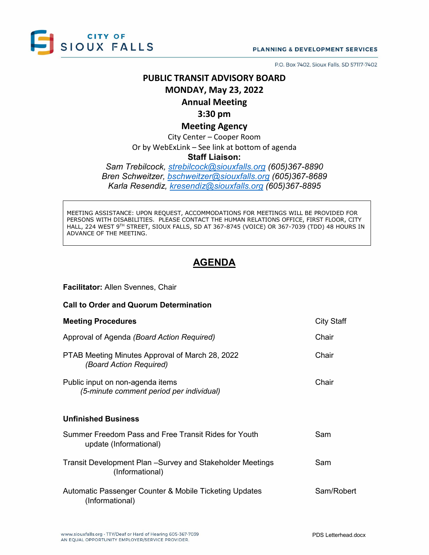

P.O. Box 7402, Sioux Falls, SD 57117-7402

# **PUBLIC TRANSIT ADVISORY BOARD MONDAY, May 23, 2022**

### **Annual Meeting**

### **3:30 pm**

### **Meeting Agency**

City Center – Cooper Room Or by WebExLink – See link at bottom of agenda

#### **Staff Liaison:**

*Sam Trebilcock, [strebilcock@siouxfalls.org](mailto:strebilcock@siouxfalls.org) (605)367-8890 Bren Schweitzer, [bschweitzer@siouxfalls.org](mailto:bschweitzer@siouxfalls.org) (605)367-8689 Karla Resendiz, [kresendiz@siouxfalls.org](mailto:kresendiz@siouxfalls.org) (605)367-8895*

MEETING ASSISTANCE: UPON REQUEST, ACCOMMODATIONS FOR MEETINGS WILL BE PROVIDED FOR PERSONS WITH DISABILITIES. PLEASE CONTACT THE HUMAN RELATIONS OFFICE, FIRST FLOOR, CITY HALL, 224 WEST 9TH STREET, SIOUX FALLS, SD AT 367-8745 (VOICE) OR 367-7039 (TDD) 48 HOURS IN ADVANCE OF THE MEETING.

## **AGENDA**

#### **Facilitator:** Allen Svennes, Chair

| <b>Call to Order and Quorum Determination</b>                                  |                   |
|--------------------------------------------------------------------------------|-------------------|
| <b>Meeting Procedures</b>                                                      | <b>City Staff</b> |
| Approval of Agenda (Board Action Required)                                     | Chair             |
| PTAB Meeting Minutes Approval of March 28, 2022<br>(Board Action Required)     | Chair             |
| Public input on non-agenda items<br>(5-minute comment period per individual)   | Chair             |
| <b>Unfinished Business</b>                                                     |                   |
| Summer Freedom Pass and Free Transit Rides for Youth<br>update (Informational) | Sam               |
| Transit Development Plan - Survey and Stakeholder Meetings<br>(Informational)  | Sam               |
| Automatic Passenger Counter & Mobile Ticketing Updates<br>(Informational)      | Sam/Robert        |